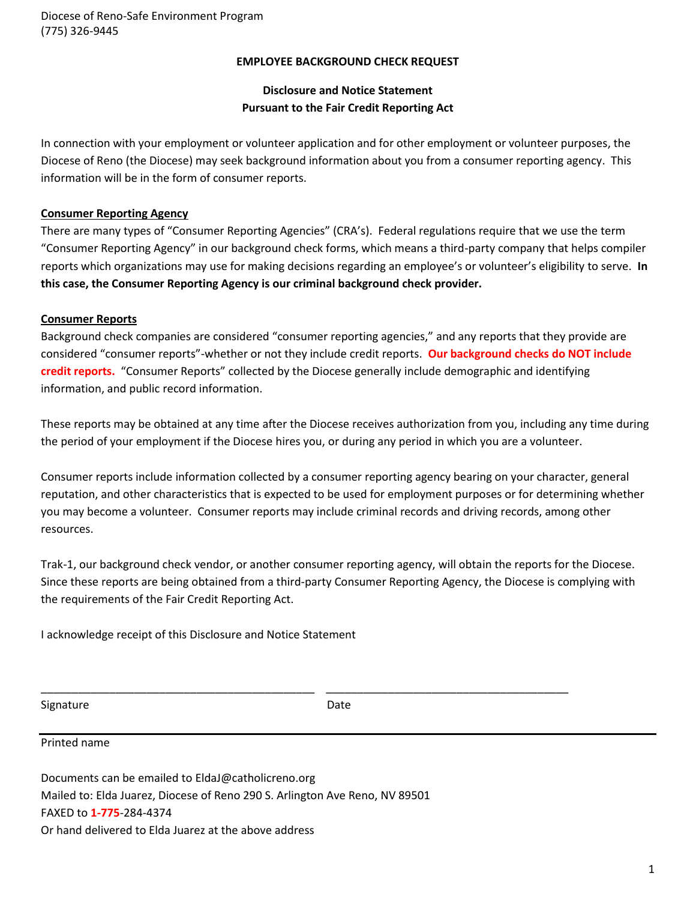#### **EMPLOYEE BACKGROUND CHECK REQUEST**

#### **Disclosure and Notice Statement Pursuant to the Fair Credit Reporting Act**

In connection with your employment or volunteer application and for other employment or volunteer purposes, the Diocese of Reno (the Diocese) may seek background information about you from a consumer reporting agency. This information will be in the form of consumer reports.

#### **Consumer Reporting Agency**

There are many types of "Consumer Reporting Agencies" (CRA's). Federal regulations require that we use the term "Consumer Reporting Agency" in our background check forms, which means a third-party company that helps compiler reports which organizations may use for making decisions regarding an employee's or volunteer's eligibility to serve. **In this case, the Consumer Reporting Agency is our criminal background check provider.**

#### **Consumer Reports**

Background check companies are considered "consumer reporting agencies," and any reports that they provide are considered "consumer reports"-whether or not they include credit reports. **Our background checks do NOT include credit reports.** "Consumer Reports" collected by the Diocese generally include demographic and identifying information, and public record information.

These reports may be obtained at any time after the Diocese receives authorization from you, including any time during the period of your employment if the Diocese hires you, or during any period in which you are a volunteer.

Consumer reports include information collected by a consumer reporting agency bearing on your character, general reputation, and other characteristics that is expected to be used for employment purposes or for determining whether you may become a volunteer. Consumer reports may include criminal records and driving records, among other resources.

Trak-1, our background check vendor, or another consumer reporting agency, will obtain the reports for the Diocese. Since these reports are being obtained from a third-party Consumer Reporting Agency, the Diocese is complying with the requirements of the Fair Credit Reporting Act.

I acknowledge receipt of this Disclosure and Notice Statement

Signature Date Date

\_\_\_\_\_\_\_\_\_\_\_\_\_\_\_\_\_\_\_\_\_\_\_\_\_\_\_\_\_\_\_\_\_\_\_\_\_\_\_\_\_\_\_\_ \_\_\_\_\_\_\_\_\_\_\_\_\_\_\_\_\_\_\_\_\_\_\_\_\_\_\_\_\_\_\_\_\_\_\_\_\_\_\_

Printed name

Documents can be emailed to EldaJ@catholicreno.org Mailed to: Elda Juarez, Diocese of Reno 290 S. Arlington Ave Reno, NV 89501 FAXED to **1-775**-284-4374 Or hand delivered to Elda Juarez at the above address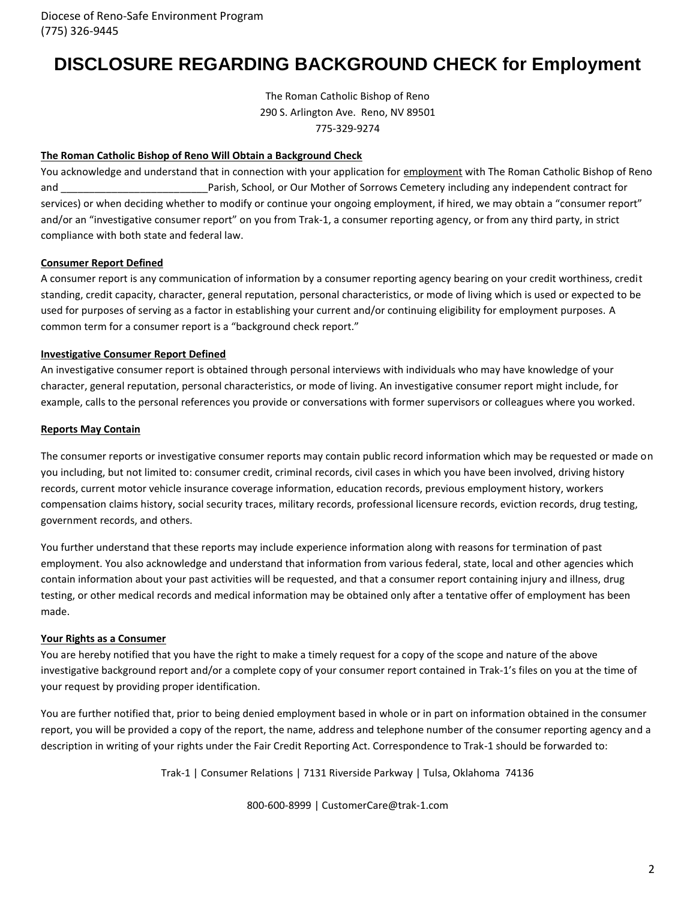## **DISCLOSURE REGARDING BACKGROUND CHECK for Employment**

The Roman Catholic Bishop of Reno 290 S. Arlington Ave. Reno, NV 89501 775-329-9274

#### **The Roman Catholic Bishop of Reno Will Obtain a Background Check**

You acknowledge and understand that in connection with your application for employment with The Roman Catholic Bishop of Reno and \_\_\_\_\_\_\_\_\_\_\_\_\_\_\_\_\_\_\_\_\_\_\_\_\_\_Parish, School, or Our Mother of Sorrows Cemetery including any independent contract for services) or when deciding whether to modify or continue your ongoing employment, if hired, we may obtain a "consumer report" and/or an "investigative consumer report" on you from Trak-1, a consumer reporting agency, or from any third party, in strict compliance with both state and federal law.

#### **Consumer Report Defined**

A consumer report is any communication of information by a consumer reporting agency bearing on your credit worthiness, credit standing, credit capacity, character, general reputation, personal characteristics, or mode of living which is used or expected to be used for purposes of serving as a factor in establishing your current and/or continuing eligibility for employment purposes. A common term for a consumer report is a "background check report."

#### **Investigative Consumer Report Defined**

An investigative consumer report is obtained through personal interviews with individuals who may have knowledge of your character, general reputation, personal characteristics, or mode of living. An investigative consumer report might include, for example, calls to the personal references you provide or conversations with former supervisors or colleagues where you worked.

#### **Reports May Contain**

The consumer reports or investigative consumer reports may contain public record information which may be requested or made on you including, but not limited to: consumer credit, criminal records, civil cases in which you have been involved, driving history records, current motor vehicle insurance coverage information, education records, previous employment history, workers compensation claims history, social security traces, military records, professional licensure records, eviction records, drug testing, government records, and others.

You further understand that these reports may include experience information along with reasons for termination of past employment. You also acknowledge and understand that information from various federal, state, local and other agencies which contain information about your past activities will be requested, and that a consumer report containing injury and illness, drug testing, or other medical records and medical information may be obtained only after a tentative offer of employment has been made.

#### **Your Rights as a Consumer**

You are hereby notified that you have the right to make a timely request for a copy of the scope and nature of the above investigative background report and/or a complete copy of your consumer report contained in Trak-1's files on you at the time of your request by providing proper identification.

You are further notified that, prior to being denied employment based in whole or in part on information obtained in the consumer report, you will be provided a copy of the report, the name, address and telephone number of the consumer reporting agency and a description in writing of your rights under the Fair Credit Reporting Act. Correspondence to Trak-1 should be forwarded to:

Trak-1 | Consumer Relations | 7131 Riverside Parkway | Tulsa, Oklahoma 74136

800-600-8999 | CustomerCare@trak-1.com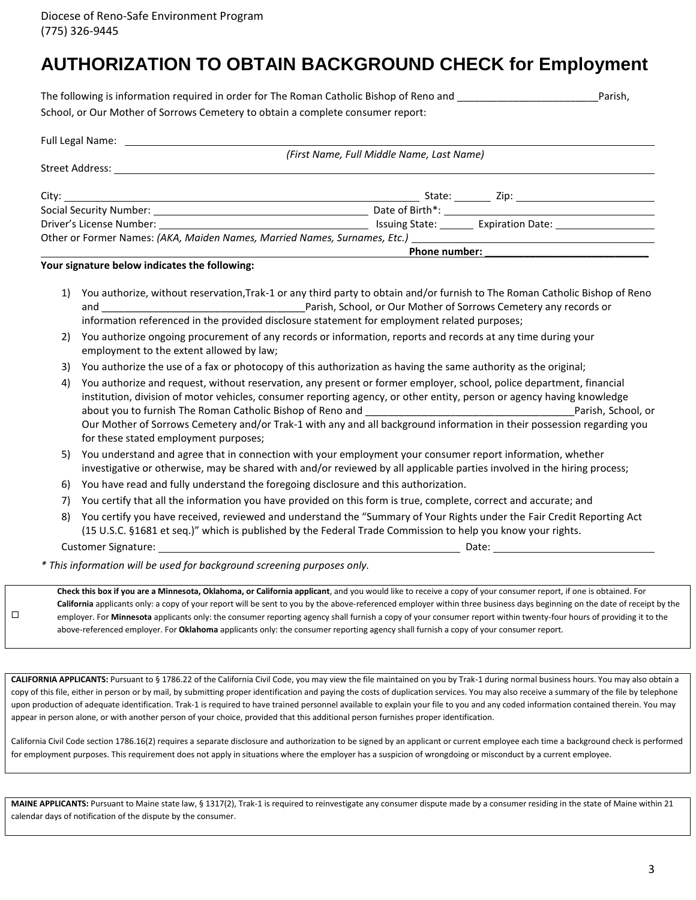# **AUTHORIZATION TO OBTAIN BACKGROUND CHECK for Employment**

| The following is information required in order for The Roman Catholic Bishop of Reno and | Parish, |
|------------------------------------------------------------------------------------------|---------|
| School, or Our Mother of Sorrows Cemetery to obtain a complete consumer report:          |         |

| Full Legal Name: The Contract of the Contract of the Contract of the Contract of the Contract of the Contract o | (First Name, Full Middle Name, Last Name) |
|-----------------------------------------------------------------------------------------------------------------|-------------------------------------------|
|                                                                                                                 |                                           |
|                                                                                                                 |                                           |
|                                                                                                                 |                                           |
|                                                                                                                 | Issuing State: Expiration Date:           |
|                                                                                                                 |                                           |
|                                                                                                                 | <b>Phone number:</b>                      |

**Your signature below indicates the following:**

- 1) You authorize, without reservation,Trak-1 or any third party to obtain and/or furnish to The Roman Catholic Bishop of Reno and \_\_\_\_\_\_\_\_\_\_\_\_\_\_\_\_\_\_\_\_\_\_\_\_\_\_\_\_\_\_\_\_\_\_\_\_Parish, School, or Our Mother of Sorrows Cemetery any records or information referenced in the provided disclosure statement for employment related purposes;
- 2) You authorize ongoing procurement of any records or information, reports and records at any time during your employment to the extent allowed by law;
- 3) You authorize the use of a fax or photocopy of this authorization as having the same authority as the original;
- 4) You authorize and request, without reservation, any present or former employer, school, police department, financial institution, division of motor vehicles, consumer reporting agency, or other entity, person or agency having knowledge about you to furnish The Roman Catholic Bishop of Reno and \_\_\_\_\_\_\_\_\_\_\_\_\_\_\_\_\_\_\_\_\_\_\_\_\_\_\_\_\_\_\_\_\_\_\_\_\_Parish, School, or Our Mother of Sorrows Cemetery and/or Trak-1 with any and all background information in their possession regarding you for these stated employment purposes;
- 5) You understand and agree that in connection with your employment your consumer report information, whether investigative or otherwise, may be shared with and/or reviewed by all applicable parties involved in the hiring process;
- 6) You have read and fully understand the foregoing disclosure and this authorization.
- 7) You certify that all the information you have provided on this form is true, complete, correct and accurate; and
- 8) You certify you have received, reviewed and understand the "Summary of Your Rights under the Fair Credit Reporting Act (15 U.S.C. §1681 et seq.)" which is published by the Federal Trade Commission to help you know your rights. Customer Signature: Date: Date: Date: Date: Date: Date: Date: Date: Date: Date: Date: Date: Date: Date: Date: Date: Date: Date: Date: Date: Date: Date: Date: Date: Date: Date: Date: Date: Date: Date: Date: Date: Date: Date

 $\Box$ 

*\* This information will be used for background screening purposes only.*

**Check this box if you are a Minnesota, Oklahoma, or California applicant**, and you would like to receive a copy of your consumer report, if one is obtained. For **California** applicants only: a copy of your report will be sent to you by the above-referenced employer within three business days beginning on the date of receipt by the employer. For **Minnesota** applicants only: the consumer reporting agency shall furnish a copy of your consumer report within twenty-four hours of providing it to the above-referenced employer. For **Oklahoma** applicants only: the consumer reporting agency shall furnish a copy of your consumer report.

**CALIFORNIA APPLICANTS:** Pursuant to § 1786.22 of the California Civil Code, you may view the file maintained on you by Trak-1 during normal business hours. You may also obtain a copy of this file, either in person or by mail, by submitting proper identification and paying the costs of duplication services. You may also receive a summary of the file by telephone upon production of adequate identification. Trak-1 is required to have trained personnel available to explain your file to you and any coded information contained therein. You may appear in person alone, or with another person of your choice, provided that this additional person furnishes proper identification.

California Civil Code section 1786.16(2) requires a separate disclosure and authorization to be signed by an applicant or current employee each time a background check is performed for employment purposes. This requirement does not apply in situations where the employer has a suspicion of wrongdoing or misconduct by a current employee.

MAINE APPLICANTS: Pursuant to Maine state law, § 1317(2), Trak-1 is required to reinvestigate any consumer dispute made by a consumer residing in the state of Maine within 21 calendar days of notification of the dispute by the consumer.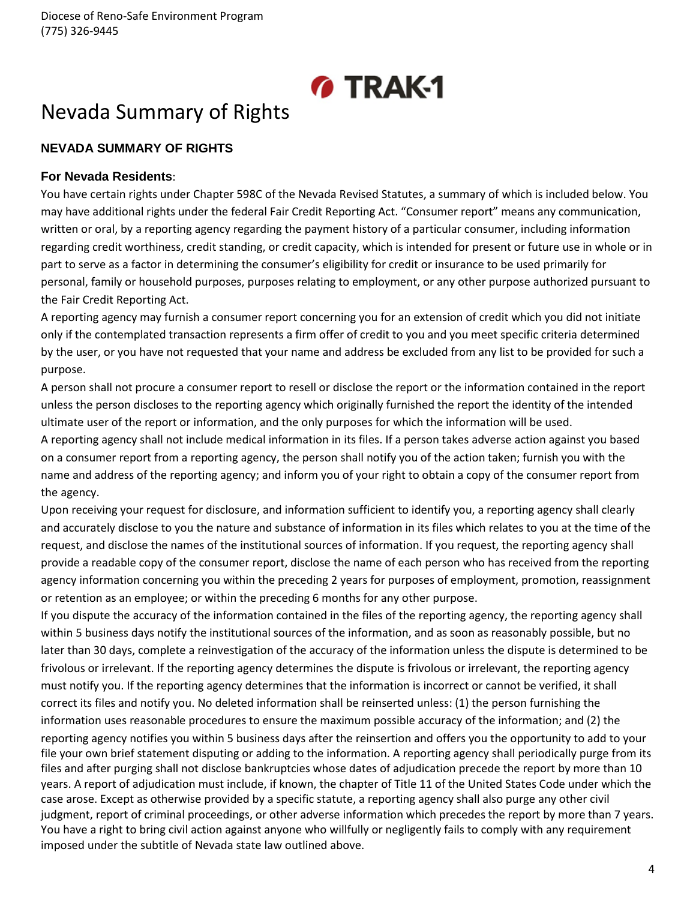# *M* TRAK-1

# Nevada Summary of Rights

## **NEVADA SUMMARY OF RIGHTS**

### **For Nevada Residents**:

You have certain rights under Chapter 598C of the Nevada Revised Statutes, a summary of which is included below. You may have additional rights under the federal Fair Credit Reporting Act. "Consumer report" means any communication, written or oral, by a reporting agency regarding the payment history of a particular consumer, including information regarding credit worthiness, credit standing, or credit capacity, which is intended for present or future use in whole or in part to serve as a factor in determining the consumer's eligibility for credit or insurance to be used primarily for personal, family or household purposes, purposes relating to employment, or any other purpose authorized pursuant to the Fair Credit Reporting Act.

A reporting agency may furnish a consumer report concerning you for an extension of credit which you did not initiate only if the contemplated transaction represents a firm offer of credit to you and you meet specific criteria determined by the user, or you have not requested that your name and address be excluded from any list to be provided for such a purpose.

A person shall not procure a consumer report to resell or disclose the report or the information contained in the report unless the person discloses to the reporting agency which originally furnished the report the identity of the intended ultimate user of the report or information, and the only purposes for which the information will be used.

A reporting agency shall not include medical information in its files. If a person takes adverse action against you based on a consumer report from a reporting agency, the person shall notify you of the action taken; furnish you with the name and address of the reporting agency; and inform you of your right to obtain a copy of the consumer report from the agency.

Upon receiving your request for disclosure, and information sufficient to identify you, a reporting agency shall clearly and accurately disclose to you the nature and substance of information in its files which relates to you at the time of the request, and disclose the names of the institutional sources of information. If you request, the reporting agency shall provide a readable copy of the consumer report, disclose the name of each person who has received from the reporting agency information concerning you within the preceding 2 years for purposes of employment, promotion, reassignment or retention as an employee; or within the preceding 6 months for any other purpose.

If you dispute the accuracy of the information contained in the files of the reporting agency, the reporting agency shall within 5 business days notify the institutional sources of the information, and as soon as reasonably possible, but no later than 30 days, complete a reinvestigation of the accuracy of the information unless the dispute is determined to be frivolous or irrelevant. If the reporting agency determines the dispute is frivolous or irrelevant, the reporting agency must notify you. If the reporting agency determines that the information is incorrect or cannot be verified, it shall correct its files and notify you. No deleted information shall be reinserted unless: (1) the person furnishing the information uses reasonable procedures to ensure the maximum possible accuracy of the information; and (2) the reporting agency notifies you within 5 business days after the reinsertion and offers you the opportunity to add to your file your own brief statement disputing or adding to the information. A reporting agency shall periodically purge from its files and after purging shall not disclose bankruptcies whose dates of adjudication precede the report by more than 10 years. A report of adjudication must include, if known, the chapter of Title 11 of the United States Code under which the case arose. Except as otherwise provided by a specific statute, a reporting agency shall also purge any other civil judgment, report of criminal proceedings, or other adverse information which precedes the report by more than 7 years. You have a right to bring civil action against anyone who willfully or negligently fails to comply with any requirement imposed under the subtitle of Nevada state law outlined above.